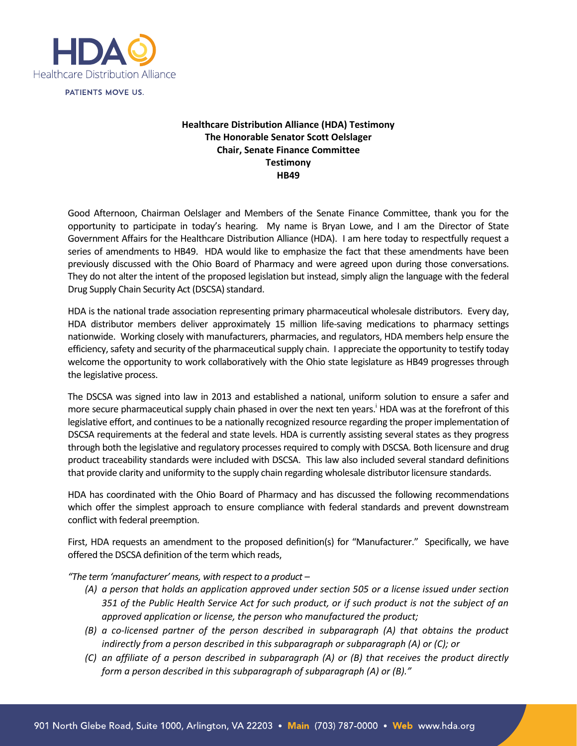

## **Healthcare Distribution Alliance (HDA) Testimony The Honorable Senator Scott Oelslager Chair, Senate Finance Committee Testimony HB49**

Good Afternoon, Chairman Oelslager and Members of the Senate Finance Committee, thank you for the opportunity to participate in today's hearing. My name is Bryan Lowe, and I am the Director of State Government Affairs for the Healthcare Distribution Alliance (HDA). I am here today to respectfully request a series of amendments to HB49. HDA would like to emphasize the fact that these amendments have been previously discussed with the Ohio Board of Pharmacy and were agreed upon during those conversations. They do not alter the intent of the proposed legislation but instead, simply align the language with the federal Drug Supply Chain Security Act (DSCSA) standard.

HDA is the national trade association representing primary pharmaceutical wholesale distributors. Every day, HDA distributor members deliver approximately 15 million life-saving medications to pharmacy settings nationwide. Working closely with manufacturers, pharmacies, and regulators, HDA members help ensure the efficiency, safety and security of the pharmaceutical supply chain. I appreciate the opportunity to testify today welcome the opportunity to work collaboratively with the Ohio state legislature as HB49 progresses through the legislative process.

The DSCSA was signed into law in 2013 and established a national, uniform solution to ensure a safer and more secure pharmaceutical supply chain phased in over the next ten years.<sup>i</sup> HDA was at the forefront of this legislative effort, and continues to be a nationally recognized resource regarding the proper implementation of DSCSA requirements at the federal and state levels. HDA is currently assisting several states as they progress through both the legislative and regulatory processes required to comply with DSCSA. Both licensure and drug product traceability standards were included with DSCSA. This law also included several standard definitions that provide clarity and uniformity to the supply chain regarding wholesale distributor licensure standards.

HDA has coordinated with the Ohio Board of Pharmacy and has discussed the following recommendations which offer the simplest approach to ensure compliance with federal standards and prevent downstream conflict with federal preemption.

First, HDA requests an amendment to the proposed definition(s) for "Manufacturer." Specifically, we have offered the DSCSA definition of the term which reads,

*"The term 'manufacturer' means, with respect to a product –*

- *(A) a person that holds an application approved under section 505 or a license issued under section 351 of the Public Health Service Act for such product, or if such product is not the subject of an approved application or license, the person who manufactured the product;*
- *(B) a co-licensed partner of the person described in subparagraph (A) that obtains the product indirectly from a person described in this subparagraph or subparagraph (A) or (C); or*
- *(C) an affiliate of a person described in subparagraph (A) or (B) that receives the product directly form a person described in this subparagraph of subparagraph (A) or (B)."*